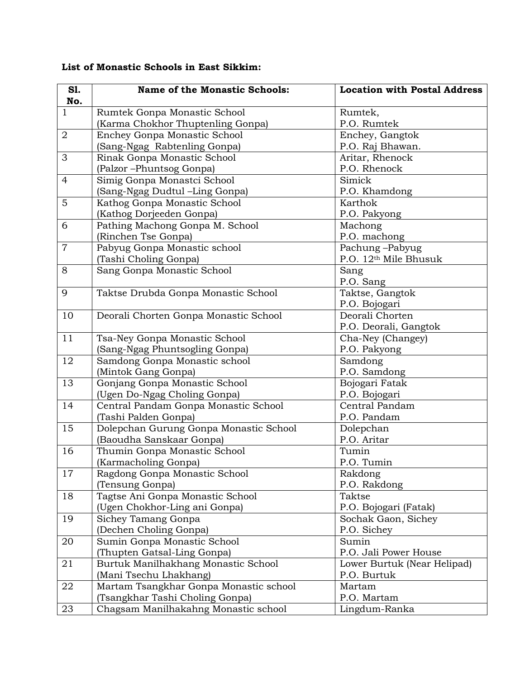| S1.            | <b>Name of the Monastic Schools:</b>   | <b>Location with Postal Address</b> |
|----------------|----------------------------------------|-------------------------------------|
| No.            |                                        |                                     |
| $\mathbf{1}$   | Rumtek Gonpa Monastic School           | Rumtek,                             |
|                | (Karma Chokhor Thuptenling Gonpa)      | P.O. Rumtek                         |
| $\overline{2}$ | Enchey Gonpa Monastic School           | Enchey, Gangtok                     |
|                | (Sang-Ngag Rabtenling Gonpa)           | P.O. Raj Bhawan.                    |
| 3              | Rinak Gonpa Monastic School            | Aritar, Rhenock                     |
|                | (Palzor-Phuntsog Gonpa)                | P.O. Rhenock                        |
| $\overline{4}$ | Simig Gonpa Monastci School            | Simick                              |
|                | (Sang-Ngag Dudtul -Ling Gonpa)         | P.O. Khamdong                       |
| 5              | Kathog Gonpa Monastic School           | Karthok                             |
|                | (Kathog Dorjeeden Gonpa)               | P.O. Pakyong                        |
| 6              | Pathing Machong Gonpa M. School        | Machong                             |
|                | (Rinchen Tse Gonpa)                    | P.O. machong                        |
| $\overline{7}$ | Pabyug Gonpa Monastic school           | Pachung-Pabyug                      |
|                | (Tashi Choling Gonpa)                  | P.O. 12 <sup>th</sup> Mile Bhusuk   |
| 8              | Sang Gonpa Monastic School             | Sang                                |
|                |                                        | P.O. Sang                           |
| 9              | Taktse Drubda Gonpa Monastic School    | Taktse, Gangtok                     |
|                |                                        | P.O. Bojogari                       |
| 10             | Deorali Chorten Gonpa Monastic School  | Deorali Chorten                     |
|                |                                        | P.O. Deorali, Gangtok               |
| 11             | Tsa-Ney Gonpa Monastic School          | Cha-Ney (Changey)                   |
|                | (Sang-Ngag Phuntsogling Gonpa)         | P.O. Pakyong                        |
| 12             | Samdong Gonpa Monastic school          | Samdong                             |
|                | (Mintok Gang Gonpa)                    | P.O. Samdong                        |
| 13             | Gonjang Gonpa Monastic School          | Bojogari Fatak                      |
|                | (Ugen Do-Ngag Choling Gonpa)           | P.O. Bojogari                       |
| 14             | Central Pandam Gonpa Monastic School   | Central Pandam                      |
|                | (Tashi Palden Gonpa)                   | P.O. Pandam                         |
| 15             | Dolepchan Gurung Gonpa Monastic School | Dolepchan                           |
|                | (Baoudha Sanskaar Gonpa)               | P.O. Aritar                         |
| 16             | Thumin Gonpa Monastic School           | Tumin                               |
|                | (Karmacholing Gonpa)                   | P.O. Tumin                          |
| 17             | Ragdong Gonpa Monastic School          | Rakdong                             |
|                | (Tensung Gonpa)                        | P.O. Rakdong                        |
| 18             | Tagtse Ani Gonpa Monastic School       | Taktse                              |
|                | (Ugen Chokhor-Ling ani Gonpa)          | P.O. Bojogari (Fatak)               |
| 19             |                                        |                                     |
|                | Sichey Tamang Gonpa                    | Sochak Gaon, Sichey                 |
|                | (Dechen Choling Gonpa)                 | P.O. Sichey                         |
| 20             | Sumin Gonpa Monastic School            | Sumin                               |
|                | (Thupten Gatsal-Ling Gonpa)            | P.O. Jali Power House               |
| 21             | Burtuk Manilhakhang Monastic School    | Lower Burtuk (Near Helipad)         |
|                | (Mani Tsechu Lhakhang)                 | P.O. Burtuk                         |
| 22             | Martam Tsangkhar Gonpa Monastic school | Martam                              |
|                | (Tsangkhar Tashi Choling Gonpa)        | P.O. Martam                         |
| 23             | Chagsam Manilhakahng Monastic school   | Lingdum-Ranka                       |

## **List of Monastic Schools in East Sikkim:**